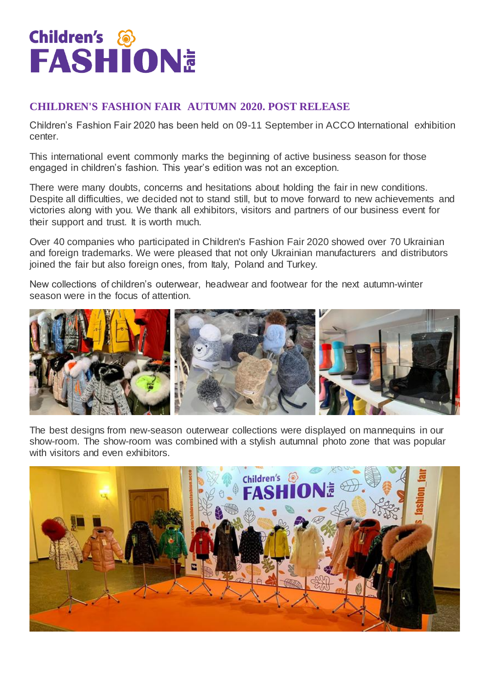## **Children's &<br>FASHION<sup>E</sup>**

## **CHILDREN'S FASHION FAIR AUTUMN 2020. POST RELEASE**

Children's Fashion Fair 2020 has been held on 09-11 September in ACCO International exhibition center.

This international event commonly marks the beginning of active business season for those engaged in children's fashion. This year's edition was not an exception.

There were many doubts, concerns and hesitations about holding the fair in new conditions. Despite all difficulties, we decided not to stand still, but to move forward to new achievements and victories along with you. We thank all exhibitors, visitors and partners of our business event for their support and trust. It is worth much.

Over 40 companies who participated in Children's Fashion Fair 2020 showed over 70 Ukrainian and foreign trademarks. We were pleased that not only Ukrainian manufacturers and distributors joined the fair but also foreign ones, from Italy, Poland and Turkey.

New collections of children's outerwear, headwear and footwear for the next autumn-winter season were in the focus of attention.



The best designs from new-season outerwear collections were displayed on mannequins in our show-room. The show-room was combined with a stylish autumnal photo zone that was popular with visitors and even exhibitors.